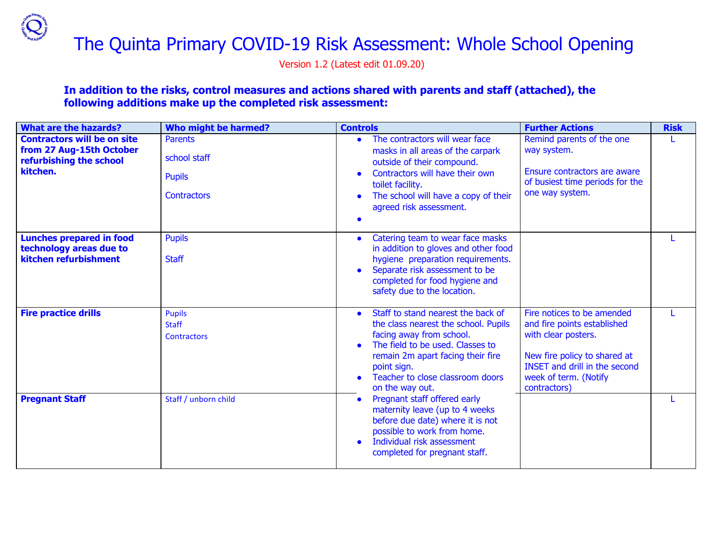# The Quinta Primary COVID-19 Risk Assessment: Whole School Opening

Version 1.2 (Latest edit 01.09.20)

### **In addition to the risks, control measures and actions shared with parents and staff (attached), the following additions make up the completed risk assessment:**

| <b>What are the hazards?</b>                                                                          | Who might be harmed?                                                  | <b>Controls</b>                                                                                                                                                                                                                                       | <b>Further Actions</b>                                                                                                                                                                            | <b>Risk</b> |
|-------------------------------------------------------------------------------------------------------|-----------------------------------------------------------------------|-------------------------------------------------------------------------------------------------------------------------------------------------------------------------------------------------------------------------------------------------------|---------------------------------------------------------------------------------------------------------------------------------------------------------------------------------------------------|-------------|
| <b>Contractors will be on site</b><br>from 27 Aug-15th October<br>refurbishing the school<br>kitchen. | <b>Parents</b><br>school staff<br><b>Pupils</b><br><b>Contractors</b> | The contractors will wear face<br>masks in all areas of the carpark<br>outside of their compound.<br>Contractors will have their own<br>toilet facility.<br>The school will have a copy of their<br>agreed risk assessment.                           | Remind parents of the one<br>way system.<br>Ensure contractors are aware<br>of busiest time periods for the<br>one way system.                                                                    |             |
| <b>Lunches prepared in food</b><br>technology areas due to<br>kitchen refurbishment                   | <b>Pupils</b><br><b>Staff</b>                                         | Catering team to wear face masks<br>in addition to gloves and other food<br>hygiene preparation requirements.<br>Separate risk assessment to be<br>completed for food hygiene and<br>safety due to the location.                                      |                                                                                                                                                                                                   |             |
| <b>Fire practice drills</b>                                                                           | <b>Pupils</b><br><b>Staff</b><br><b>Contractors</b>                   | Staff to stand nearest the back of<br>the class nearest the school. Pupils<br>facing away from school.<br>The field to be used. Classes to<br>remain 2m apart facing their fire<br>point sign.<br>Teacher to close classroom doors<br>on the way out. | Fire notices to be amended<br>and fire points established<br>with clear posters.<br>New fire policy to shared at<br><b>INSET and drill in the second</b><br>week of term. (Notify<br>contractors) |             |
| <b>Pregnant Staff</b>                                                                                 | Staff / unborn child                                                  | Pregnant staff offered early<br>$\bullet$<br>maternity leave (up to 4 weeks)<br>before due date) where it is not<br>possible to work from home.<br>Individual risk assessment<br>completed for pregnant staff.                                        |                                                                                                                                                                                                   |             |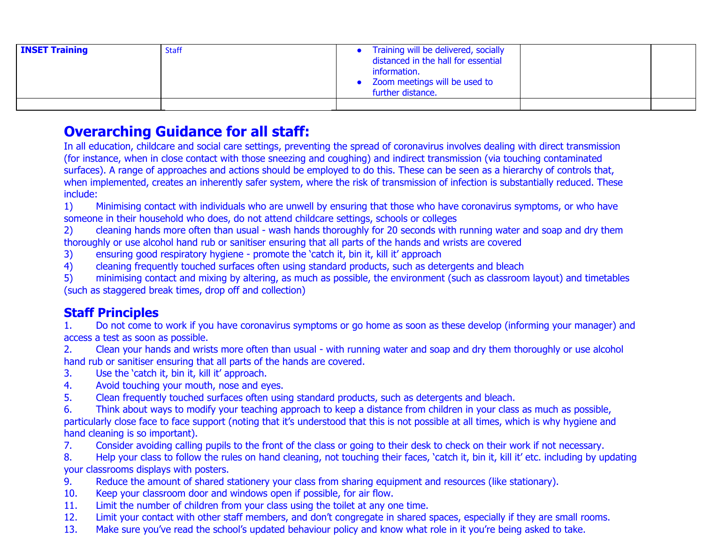| <b>INSET Training</b> | <b>Staff</b> | Training will be delivered, socially<br>distanced in the hall for essential<br>information.<br>• Zoom meetings will be used to<br>further distance. |  |
|-----------------------|--------------|-----------------------------------------------------------------------------------------------------------------------------------------------------|--|
|                       |              |                                                                                                                                                     |  |

## **Overarching Guidance for all staff:**

In all education, childcare and social care settings, preventing the spread of coronavirus involves dealing with direct transmission (for instance, when in close contact with those sneezing and coughing) and indirect transmission (via touching contaminated surfaces). A range of approaches and actions should be employed to do this. These can be seen as a hierarchy of controls that, when implemented, creates an inherently safer system, where the risk of transmission of infection is substantially reduced. These include:

1) Minimising contact with individuals who are unwell by ensuring that those who have coronavirus symptoms, or who have someone in their household who does, do not attend childcare settings, schools or colleges

2) cleaning hands more often than usual - wash hands thoroughly for 20 seconds with running water and soap and dry them thoroughly or use alcohol hand rub or sanitiser ensuring that all parts of the hands and wrists are covered

- 3) ensuring good respiratory hygiene promote the 'catch it, bin it, kill it' approach
- 4) cleaning frequently touched surfaces often using standard products, such as detergents and bleach

5) minimising contact and mixing by altering, as much as possible, the environment (such as classroom layout) and timetables (such as staggered break times, drop off and collection)

## **Staff Principles**

1. Do not come to work if you have coronavirus symptoms or go home as soon as these develop (informing your manager) and access a test as soon as possible.

2. Clean your hands and wrists more often than usual - with running water and soap and dry them thoroughly or use alcohol hand rub or sanitiser ensuring that all parts of the hands are covered.

- 3. Use the 'catch it, bin it, kill it' approach.
- 4. Avoid touching your mouth, nose and eyes.
- 5. Clean frequently touched surfaces often using standard products, such as detergents and bleach.

6. Think about ways to modify your teaching approach to keep a distance from children in your class as much as possible, particularly close face to face support (noting that it's understood that this is not possible at all times, which is why hygiene and hand cleaning is so important).

7. Consider avoiding calling pupils to the front of the class or going to their desk to check on their work if not necessary.

8. Help your class to follow the rules on hand cleaning, not touching their faces, 'catch it, bin it, kill it' etc. including by updating your classrooms displays with posters.

- 9. Reduce the amount of shared stationery your class from sharing equipment and resources (like stationary).
- 10. Keep your classroom door and windows open if possible, for air flow.
- 11. Limit the number of children from your class using the toilet at any one time.
- 12. Limit your contact with other staff members, and don't congregate in shared spaces, especially if they are small rooms.
- 13. Make sure you've read the school's updated behaviour policy and know what role in it you're being asked to take.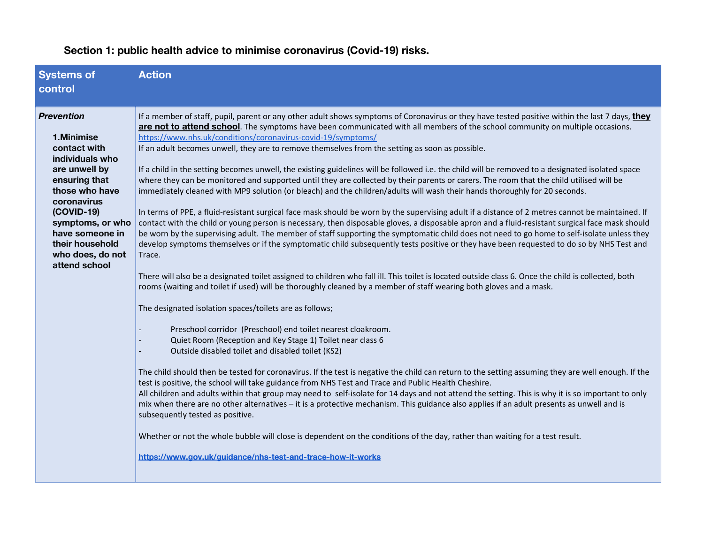| <b>Systems of</b><br>control                                                                                                                                                                                                                         | <b>Action</b>                                                                                                                                                                                                                                                                                                                                                                                                                                                                                                                                                                                                                                                                                                                                                                                                                                                                                                                                                                                                                                                                                                                                                                                                                                                                                                                                                                                                                                                                                                                                                                                                                                                                                                                                                                                                                                                                                                                                                                                                                                                                                                                                                                                                                                                                                                                                                                                                                                                                                                                                                                                                                                                                                                                                                                                                            |
|------------------------------------------------------------------------------------------------------------------------------------------------------------------------------------------------------------------------------------------------------|--------------------------------------------------------------------------------------------------------------------------------------------------------------------------------------------------------------------------------------------------------------------------------------------------------------------------------------------------------------------------------------------------------------------------------------------------------------------------------------------------------------------------------------------------------------------------------------------------------------------------------------------------------------------------------------------------------------------------------------------------------------------------------------------------------------------------------------------------------------------------------------------------------------------------------------------------------------------------------------------------------------------------------------------------------------------------------------------------------------------------------------------------------------------------------------------------------------------------------------------------------------------------------------------------------------------------------------------------------------------------------------------------------------------------------------------------------------------------------------------------------------------------------------------------------------------------------------------------------------------------------------------------------------------------------------------------------------------------------------------------------------------------------------------------------------------------------------------------------------------------------------------------------------------------------------------------------------------------------------------------------------------------------------------------------------------------------------------------------------------------------------------------------------------------------------------------------------------------------------------------------------------------------------------------------------------------------------------------------------------------------------------------------------------------------------------------------------------------------------------------------------------------------------------------------------------------------------------------------------------------------------------------------------------------------------------------------------------------------------------------------------------------------------------------------------------------|
| <b>Prevention</b><br>1.Minimise<br>contact with<br>individuals who<br>are unwell by<br>ensuring that<br>those who have<br>coronavirus<br>$(COVID-19)$<br>symptoms, or who<br>have someone in<br>their household<br>who does, do not<br>attend school | If a member of staff, pupil, parent or any other adult shows symptoms of Coronavirus or they have tested positive within the last 7 days, they<br>are not to attend school. The symptoms have been communicated with all members of the school community on multiple occasions.<br>https://www.nhs.uk/conditions/coronavirus-covid-19/symptoms/<br>If an adult becomes unwell, they are to remove themselves from the setting as soon as possible.<br>If a child in the setting becomes unwell, the existing guidelines will be followed i.e. the child will be removed to a designated isolated space<br>where they can be monitored and supported until they are collected by their parents or carers. The room that the child utilised will be<br>immediately cleaned with MP9 solution (or bleach) and the children/adults will wash their hands thoroughly for 20 seconds.<br>In terms of PPE, a fluid-resistant surgical face mask should be worn by the supervising adult if a distance of 2 metres cannot be maintained. If<br>contact with the child or young person is necessary, then disposable gloves, a disposable apron and a fluid-resistant surgical face mask should<br>be worn by the supervising adult. The member of staff supporting the symptomatic child does not need to go home to self-isolate unless they<br>develop symptoms themselves or if the symptomatic child subsequently tests positive or they have been requested to do so by NHS Test and<br>Trace.<br>There will also be a designated toilet assigned to children who fall ill. This toilet is located outside class 6. Once the child is collected, both<br>rooms (waiting and toilet if used) will be thoroughly cleaned by a member of staff wearing both gloves and a mask.<br>The designated isolation spaces/toilets are as follows;<br>Preschool corridor (Preschool) end toilet nearest cloakroom.<br>Quiet Room (Reception and Key Stage 1) Toilet near class 6<br>Outside disabled toilet and disabled toilet (KS2)<br>The child should then be tested for coronavirus. If the test is negative the child can return to the setting assuming they are well enough. If the<br>test is positive, the school will take guidance from NHS Test and Trace and Public Health Cheshire.<br>All children and adults within that group may need to self-isolate for 14 days and not attend the setting. This is why it is so important to only<br>mix when there are no other alternatives - it is a protective mechanism. This guidance also applies if an adult presents as unwell and is<br>subsequently tested as positive.<br>Whether or not the whole bubble will close is dependent on the conditions of the day, rather than waiting for a test result.<br>https://www.gov.uk/guidance/nhs-test-and-trace-how-it-works |

## **Section 1: public health advice to minimise coronavirus (Covid-19) risks.**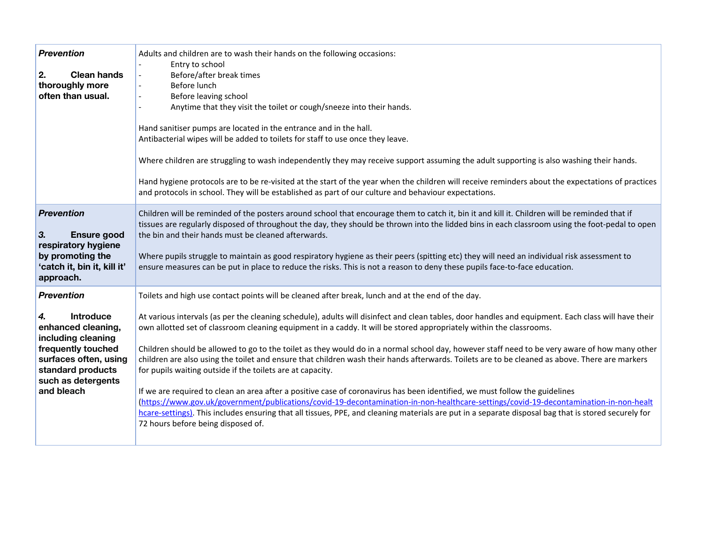| <b>Prevention</b><br>2.<br><b>Clean hands</b><br>thoroughly more<br>often than usual.                                                                                                           | Adults and children are to wash their hands on the following occasions:<br>Entry to school<br>Before/after break times<br>$\overline{\phantom{a}}$<br>Before lunch<br>$\blacksquare$<br>Before leaving school<br>$\overline{\phantom{a}}$<br>Anytime that they visit the toilet or cough/sneeze into their hands.<br>Hand sanitiser pumps are located in the entrance and in the hall.<br>Antibacterial wipes will be added to toilets for staff to use once they leave.<br>Where children are struggling to wash independently they may receive support assuming the adult supporting is also washing their hands.<br>Hand hygiene protocols are to be re-visited at the start of the year when the children will receive reminders about the expectations of practices<br>and protocols in school. They will be established as part of our culture and behaviour expectations.                                                                                                                                                                                                                                                                                                                                       |
|-------------------------------------------------------------------------------------------------------------------------------------------------------------------------------------------------|------------------------------------------------------------------------------------------------------------------------------------------------------------------------------------------------------------------------------------------------------------------------------------------------------------------------------------------------------------------------------------------------------------------------------------------------------------------------------------------------------------------------------------------------------------------------------------------------------------------------------------------------------------------------------------------------------------------------------------------------------------------------------------------------------------------------------------------------------------------------------------------------------------------------------------------------------------------------------------------------------------------------------------------------------------------------------------------------------------------------------------------------------------------------------------------------------------------------|
| <b>Prevention</b><br>3.<br><b>Ensure good</b><br>respiratory hygiene<br>by promoting the<br>'catch it, bin it, kill it'<br>approach.                                                            | Children will be reminded of the posters around school that encourage them to catch it, bin it and kill it. Children will be reminded that if<br>tissues are regularly disposed of throughout the day, they should be thrown into the lidded bins in each classroom using the foot-pedal to open<br>the bin and their hands must be cleaned afterwards.<br>Where pupils struggle to maintain as good respiratory hygiene as their peers (spitting etc) they will need an individual risk assessment to<br>ensure measures can be put in place to reduce the risks. This is not a reason to deny these pupils face-to-face education.                                                                                                                                                                                                                                                                                                                                                                                                                                                                                                                                                                                   |
| <b>Prevention</b><br><b>Introduce</b><br>4.<br>enhanced cleaning,<br>including cleaning<br>frequently touched<br>surfaces often, using<br>standard products<br>such as detergents<br>and bleach | Toilets and high use contact points will be cleaned after break, lunch and at the end of the day.<br>At various intervals (as per the cleaning schedule), adults will disinfect and clean tables, door handles and equipment. Each class will have their<br>own allotted set of classroom cleaning equipment in a caddy. It will be stored appropriately within the classrooms.<br>Children should be allowed to go to the toilet as they would do in a normal school day, however staff need to be very aware of how many other<br>children are also using the toilet and ensure that children wash their hands afterwards. Toilets are to be cleaned as above. There are markers<br>for pupils waiting outside if the toilets are at capacity.<br>If we are required to clean an area after a positive case of coronavirus has been identified, we must follow the guidelines<br>(https://www.gov.uk/government/publications/covid-19-decontamination-in-non-healthcare-settings/covid-19-decontamination-in-non-healt<br>hcare-settings). This includes ensuring that all tissues, PPE, and cleaning materials are put in a separate disposal bag that is stored securely for<br>72 hours before being disposed of. |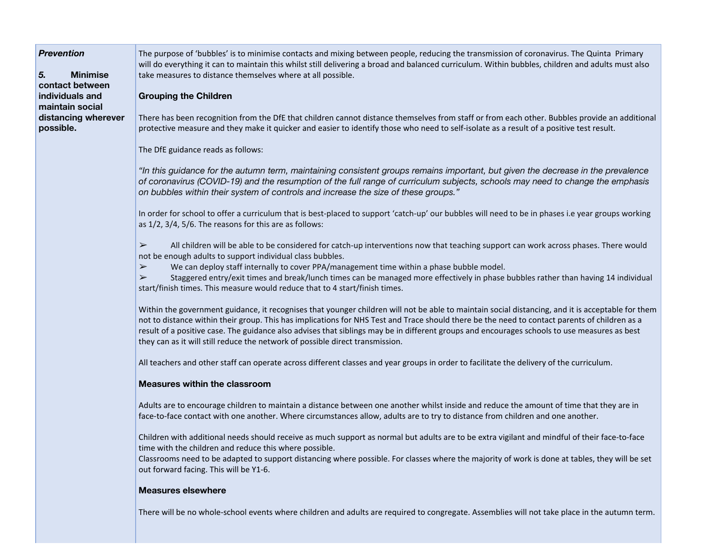*Prevention*

*5.* **Minimise contact between individuals and maintain social distancing wherever possible.**

The purpose of 'bubbles' is to minimise contacts and mixing between people, reducing the transmission of coronavirus. The Quinta Primary will do everything it can to maintain this whilst still delivering a broad and balanced curriculum. Within bubbles, children and adults must also take measures to distance themselves where at all possible.

#### **Grouping the Children**

There has been recognition from the DfE that children cannot distance themselves from staff or from each other. Bubbles provide an additional protective measure and they make it quicker and easier to identify those who need to self-isolate as a result of a positive test result.

The DfE guidance reads as follows:

"In this guidance for the autumn term, maintaining consistent groups remains important, but given the decrease in the prevalence of coronavirus (COVID-19) and the resumption of the full range of curriculum subjects, schools may need to change the emphasis *on bubbles within their system of controls and increase the size of these groups."*

In order for school to offer a curriculum that is best-placed to support 'catch-up' our bubbles will need to be in phases i.e year groups working as 1/2, 3/4, 5/6. The reasons for this are as follows:

 $\triangleright$  All children will be able to be considered for catch-up interventions now that teaching support can work across phases. There would not be enough adults to support individual class bubbles.

 $\triangleright$  We can deploy staff internally to cover PPA/management time within a phase bubble model.

➢ Staggered entry/exit times and break/lunch times can be managed more effectively in phase bubbles rather than having 14 individual start/finish times. This measure would reduce that to 4 start/finish times.

Within the government guidance, it recognises that younger children will not be able to maintain social distancing, and it is acceptable for them not to distance within their group. This has implications for NHS Test and Trace should there be the need to contact parents of children as a result of a positive case. The guidance also advises that siblings may be in different groups and encourages schools to use measures as best they can as it will still reduce the network of possible direct transmission.

All teachers and other staff can operate across different classes and year groups in order to facilitate the delivery of the curriculum.

#### **Measures within the classroom**

Adults are to encourage children to maintain a distance between one another whilst inside and reduce the amount of time that they are in face-to-face contact with one another. Where circumstances allow, adults are to try to distance from children and one another.

Children with additional needs should receive as much support as normal but adults are to be extra vigilant and mindful of their face-to-face time with the children and reduce this where possible.

Classrooms need to be adapted to support distancing where possible. For classes where the majority of work is done at tables, they will be set out forward facing. This will be Y1-6.

#### **Measures elsewhere**

There will be no whole-school events where children and adults are required to congregate. Assemblies will not take place in the autumn term.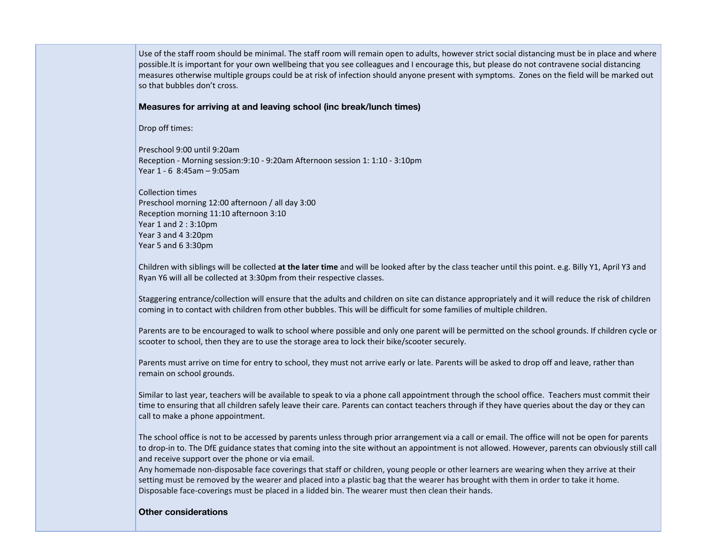Use of the staff room should be minimal. The staff room will remain open to adults, however strict social distancing must be in place and where possible.It is important for your own wellbeing that you see colleagues and I encourage this, but please do not contravene social distancing measures otherwise multiple groups could be at risk of infection should anyone present with symptoms. Zones on the field will be marked out so that bubbles don't cross.

#### **Measures for arriving at and leaving school (inc break/lunch times)**

Drop off times:

Preschool 9:00 until 9:20am Reception - Morning session:9:10 - 9:20am Afternoon session 1: 1:10 - 3:10pm Year 1 - 6 8:45am – 9:05am

Collection times Preschool morning 12:00 afternoon / all day 3:00 Reception morning 11:10 afternoon 3:10 Year 1 and 2 : 3:10pm Year 3 and 4 3:20pm Year 5 and 6 3:30pm

Children with siblings will be collected **at the later time** and will be looked after by the class teacher until this point. e.g. Billy Y1, April Y3 and Ryan Y6 will all be collected at 3:30pm from their respective classes.

Staggering entrance/collection will ensure that the adults and children on site can distance appropriately and it will reduce the risk of children coming in to contact with children from other bubbles. This will be difficult for some families of multiple children.

Parents are to be encouraged to walk to school where possible and only one parent will be permitted on the school grounds. If children cycle or scooter to school, then they are to use the storage area to lock their bike/scooter securely.

Parents must arrive on time for entry to school, they must not arrive early or late. Parents will be asked to drop off and leave, rather than remain on school grounds.

Similar to last year, teachers will be available to speak to via a phone call appointment through the school office. Teachers must commit their time to ensuring that all children safely leave their care. Parents can contact teachers through if they have queries about the day or they can call to make a phone appointment.

The school office is not to be accessed by parents unless through prior arrangement via a call or email. The office will not be open for parents to drop-in to. The DfE guidance states that coming into the site without an appointment is not allowed. However, parents can obviously still call and receive support over the phone or via email.

Any homemade non-disposable face coverings that staff or children, young people or other learners are wearing when they arrive at their setting must be removed by the wearer and placed into a plastic bag that the wearer has brought with them in order to take it home. Disposable face-coverings must be placed in a lidded bin. The wearer must then clean their hands.

#### **Other considerations**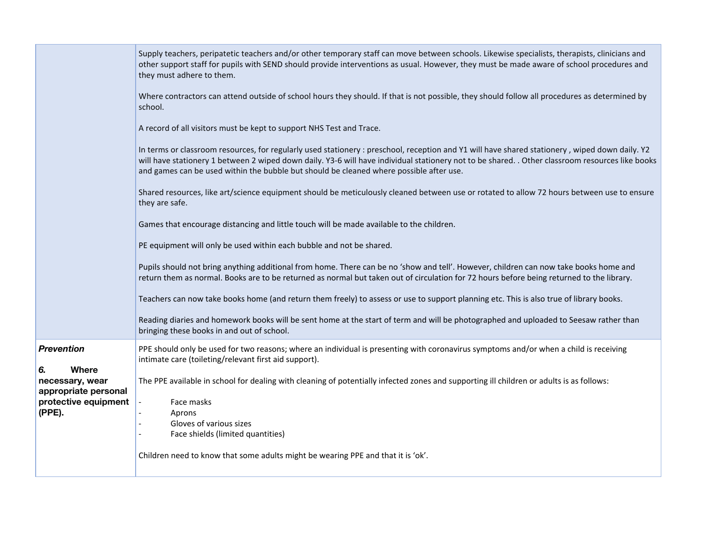|                                                                                                                      | Supply teachers, peripatetic teachers and/or other temporary staff can move between schools. Likewise specialists, therapists, clinicians and<br>other support staff for pupils with SEND should provide interventions as usual. However, they must be made aware of school procedures and<br>they must adhere to them.<br>Where contractors can attend outside of school hours they should. If that is not possible, they should follow all procedures as determined by<br>school.<br>A record of all visitors must be kept to support NHS Test and Trace.<br>In terms or classroom resources, for regularly used stationery : preschool, reception and Y1 will have shared stationery, wiped down daily. Y2<br>will have stationery 1 between 2 wiped down daily. Y3-6 will have individual stationery not to be shared. . Other classroom resources like books<br>and games can be used within the bubble but should be cleaned where possible after use.<br>Shared resources, like art/science equipment should be meticulously cleaned between use or rotated to allow 72 hours between use to ensure<br>they are safe.<br>Games that encourage distancing and little touch will be made available to the children.<br>PE equipment will only be used within each bubble and not be shared.<br>Pupils should not bring anything additional from home. There can be no 'show and tell'. However, children can now take books home and<br>return them as normal. Books are to be returned as normal but taken out of circulation for 72 hours before being returned to the library.<br>Teachers can now take books home (and return them freely) to assess or use to support planning etc. This is also true of library books. |
|----------------------------------------------------------------------------------------------------------------------|-----------------------------------------------------------------------------------------------------------------------------------------------------------------------------------------------------------------------------------------------------------------------------------------------------------------------------------------------------------------------------------------------------------------------------------------------------------------------------------------------------------------------------------------------------------------------------------------------------------------------------------------------------------------------------------------------------------------------------------------------------------------------------------------------------------------------------------------------------------------------------------------------------------------------------------------------------------------------------------------------------------------------------------------------------------------------------------------------------------------------------------------------------------------------------------------------------------------------------------------------------------------------------------------------------------------------------------------------------------------------------------------------------------------------------------------------------------------------------------------------------------------------------------------------------------------------------------------------------------------------------------------------------------------------------------------------------------------------------------|
|                                                                                                                      | Reading diaries and homework books will be sent home at the start of term and will be photographed and uploaded to Seesaw rather than<br>bringing these books in and out of school.                                                                                                                                                                                                                                                                                                                                                                                                                                                                                                                                                                                                                                                                                                                                                                                                                                                                                                                                                                                                                                                                                                                                                                                                                                                                                                                                                                                                                                                                                                                                               |
| <b>Prevention</b><br><b>Where</b><br>6.<br>necessary, wear<br>appropriate personal<br>protective equipment<br>(PPE). | PPE should only be used for two reasons; where an individual is presenting with coronavirus symptoms and/or when a child is receiving<br>intimate care (toileting/relevant first aid support).<br>The PPE available in school for dealing with cleaning of potentially infected zones and supporting ill children or adults is as follows:<br>Face masks<br>Aprons<br>Gloves of various sizes<br>Face shields (limited quantities)<br>Children need to know that some adults might be wearing PPE and that it is 'ok'.                                                                                                                                                                                                                                                                                                                                                                                                                                                                                                                                                                                                                                                                                                                                                                                                                                                                                                                                                                                                                                                                                                                                                                                                            |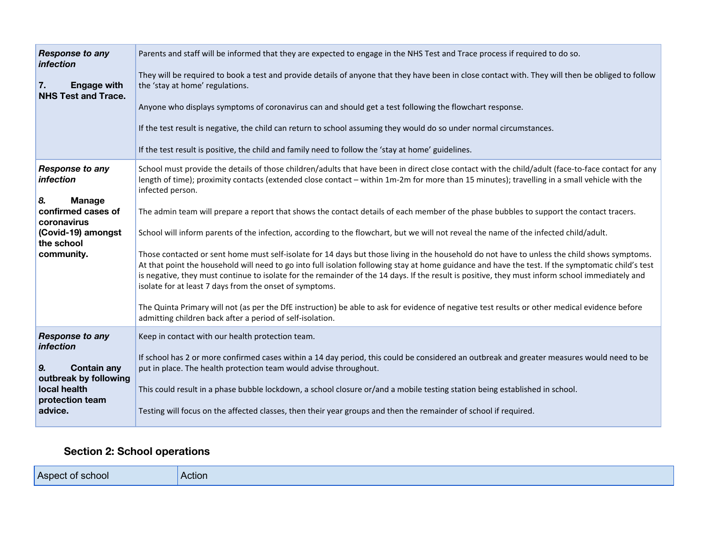| <b>Response to any</b><br>infection                    | Parents and staff will be informed that they are expected to engage in the NHS Test and Trace process if required to do so.                                                                                                                                                                                                                                                                                                                                                                                      |
|--------------------------------------------------------|------------------------------------------------------------------------------------------------------------------------------------------------------------------------------------------------------------------------------------------------------------------------------------------------------------------------------------------------------------------------------------------------------------------------------------------------------------------------------------------------------------------|
| 7.<br><b>Engage with</b><br><b>NHS Test and Trace.</b> | They will be required to book a test and provide details of anyone that they have been in close contact with. They will then be obliged to follow<br>the 'stay at home' regulations.                                                                                                                                                                                                                                                                                                                             |
|                                                        | Anyone who displays symptoms of coronavirus can and should get a test following the flowchart response.                                                                                                                                                                                                                                                                                                                                                                                                          |
|                                                        | If the test result is negative, the child can return to school assuming they would do so under normal circumstances.                                                                                                                                                                                                                                                                                                                                                                                             |
|                                                        | If the test result is positive, the child and family need to follow the 'stay at home' guidelines.                                                                                                                                                                                                                                                                                                                                                                                                               |
| <b>Response to any</b><br>infection                    | School must provide the details of those children/adults that have been in direct close contact with the child/adult (face-to-face contact for any<br>length of time); proximity contacts (extended close contact - within 1m-2m for more than 15 minutes); travelling in a small vehicle with the<br>infected person.                                                                                                                                                                                           |
| 8.<br><b>Manage</b>                                    |                                                                                                                                                                                                                                                                                                                                                                                                                                                                                                                  |
| confirmed cases of<br>coronavirus                      | The admin team will prepare a report that shows the contact details of each member of the phase bubbles to support the contact tracers.                                                                                                                                                                                                                                                                                                                                                                          |
| (Covid-19) amongst                                     | School will inform parents of the infection, according to the flowchart, but we will not reveal the name of the infected child/adult.                                                                                                                                                                                                                                                                                                                                                                            |
| the school<br>community.                               | Those contacted or sent home must self-isolate for 14 days but those living in the household do not have to unless the child shows symptoms.<br>At that point the household will need to go into full isolation following stay at home guidance and have the test. If the symptomatic child's test<br>is negative, they must continue to isolate for the remainder of the 14 days. If the result is positive, they must inform school immediately and<br>isolate for at least 7 days from the onset of symptoms. |
|                                                        | The Quinta Primary will not (as per the DfE instruction) be able to ask for evidence of negative test results or other medical evidence before<br>admitting children back after a period of self-isolation.                                                                                                                                                                                                                                                                                                      |
| <b>Response to any</b>                                 | Keep in contact with our health protection team.                                                                                                                                                                                                                                                                                                                                                                                                                                                                 |
| infection                                              | If school has 2 or more confirmed cases within a 14 day period, this could be considered an outbreak and greater measures would need to be                                                                                                                                                                                                                                                                                                                                                                       |
| 9.<br><b>Contain any</b>                               | put in place. The health protection team would advise throughout.                                                                                                                                                                                                                                                                                                                                                                                                                                                |
| outbreak by following<br>local health                  | This could result in a phase bubble lockdown, a school closure or/and a mobile testing station being established in school.                                                                                                                                                                                                                                                                                                                                                                                      |
| protection team                                        |                                                                                                                                                                                                                                                                                                                                                                                                                                                                                                                  |
| advice.                                                | Testing will focus on the affected classes, then their year groups and then the remainder of school if required.                                                                                                                                                                                                                                                                                                                                                                                                 |

## **Section 2: School operations**

| Aspect of school | Action |
|------------------|--------|
|                  |        |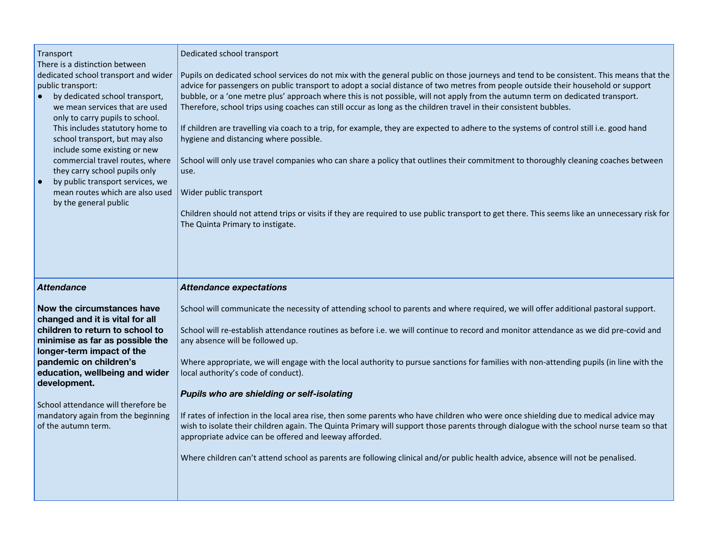| Transport<br>There is a distinction between<br>dedicated school transport and wider<br>public transport:<br>by dedicated school transport,<br>we mean services that are used<br>only to carry pupils to school.<br>This includes statutory home to<br>school transport, but may also<br>include some existing or new<br>commercial travel routes, where<br>they carry school pupils only<br>by public transport services, we<br>$\bullet$<br>mean routes which are also used<br>by the general public | Dedicated school transport<br>Pupils on dedicated school services do not mix with the general public on those journeys and tend to be consistent. This means that the<br>advice for passengers on public transport to adopt a social distance of two metres from people outside their household or support<br>bubble, or a 'one metre plus' approach where this is not possible, will not apply from the autumn term on dedicated transport.<br>Therefore, school trips using coaches can still occur as long as the children travel in their consistent bubbles.<br>If children are travelling via coach to a trip, for example, they are expected to adhere to the systems of control still i.e. good hand<br>hygiene and distancing where possible.<br>School will only use travel companies who can share a policy that outlines their commitment to thoroughly cleaning coaches between<br>use.<br>Wider public transport<br>Children should not attend trips or visits if they are required to use public transport to get there. This seems like an unnecessary risk for<br>The Quinta Primary to instigate. |
|-------------------------------------------------------------------------------------------------------------------------------------------------------------------------------------------------------------------------------------------------------------------------------------------------------------------------------------------------------------------------------------------------------------------------------------------------------------------------------------------------------|---------------------------------------------------------------------------------------------------------------------------------------------------------------------------------------------------------------------------------------------------------------------------------------------------------------------------------------------------------------------------------------------------------------------------------------------------------------------------------------------------------------------------------------------------------------------------------------------------------------------------------------------------------------------------------------------------------------------------------------------------------------------------------------------------------------------------------------------------------------------------------------------------------------------------------------------------------------------------------------------------------------------------------------------------------------------------------------------------------------------|
|                                                                                                                                                                                                                                                                                                                                                                                                                                                                                                       |                                                                                                                                                                                                                                                                                                                                                                                                                                                                                                                                                                                                                                                                                                                                                                                                                                                                                                                                                                                                                                                                                                                     |
| <b>Attendance</b>                                                                                                                                                                                                                                                                                                                                                                                                                                                                                     | <b>Attendance expectations</b>                                                                                                                                                                                                                                                                                                                                                                                                                                                                                                                                                                                                                                                                                                                                                                                                                                                                                                                                                                                                                                                                                      |
| Now the circumstances have<br>changed and it is vital for all<br>children to return to school to<br>minimise as far as possible the<br>longer-term impact of the<br>pandemic on children's<br>education, wellbeing and wider<br>development.<br>School attendance will therefore be<br>mandatory again from the beginning<br>of the autumn term.                                                                                                                                                      | School will communicate the necessity of attending school to parents and where required, we will offer additional pastoral support.<br>School will re-establish attendance routines as before i.e. we will continue to record and monitor attendance as we did pre-covid and<br>any absence will be followed up.<br>Where appropriate, we will engage with the local authority to pursue sanctions for families with non-attending pupils (in line with the<br>local authority's code of conduct).<br>Pupils who are shielding or self-isolating<br>If rates of infection in the local area rise, then some parents who have children who were once shielding due to medical advice may<br>wish to isolate their children again. The Quinta Primary will support those parents through dialogue with the school nurse team so that<br>appropriate advice can be offered and leeway afforded.<br>Where children can't attend school as parents are following clinical and/or public health advice, absence will not be penalised.                                                                                    |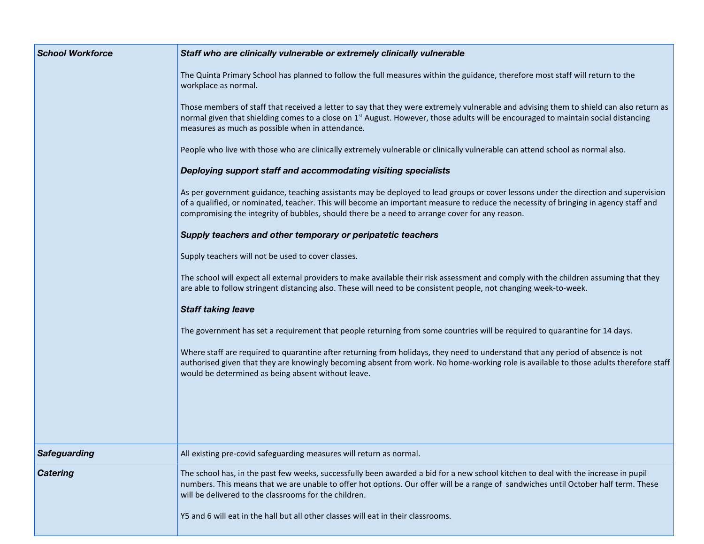| <b>School Workforce</b> | Staff who are clinically vulnerable or extremely clinically vulnerable                                                                                                                                                                                                                                                                                                        |  |
|-------------------------|-------------------------------------------------------------------------------------------------------------------------------------------------------------------------------------------------------------------------------------------------------------------------------------------------------------------------------------------------------------------------------|--|
|                         | The Quinta Primary School has planned to follow the full measures within the guidance, therefore most staff will return to the<br>workplace as normal.                                                                                                                                                                                                                        |  |
|                         | Those members of staff that received a letter to say that they were extremely vulnerable and advising them to shield can also return as<br>normal given that shielding comes to a close on 1 <sup>st</sup> August. However, those adults will be encouraged to maintain social distancing<br>measures as much as possible when in attendance.                                 |  |
|                         | People who live with those who are clinically extremely vulnerable or clinically vulnerable can attend school as normal also.                                                                                                                                                                                                                                                 |  |
|                         | Deploying support staff and accommodating visiting specialists                                                                                                                                                                                                                                                                                                                |  |
|                         | As per government guidance, teaching assistants may be deployed to lead groups or cover lessons under the direction and supervision<br>of a qualified, or nominated, teacher. This will become an important measure to reduce the necessity of bringing in agency staff and<br>compromising the integrity of bubbles, should there be a need to arrange cover for any reason. |  |
|                         | Supply teachers and other temporary or peripatetic teachers                                                                                                                                                                                                                                                                                                                   |  |
|                         | Supply teachers will not be used to cover classes.                                                                                                                                                                                                                                                                                                                            |  |
|                         | The school will expect all external providers to make available their risk assessment and comply with the children assuming that they<br>are able to follow stringent distancing also. These will need to be consistent people, not changing week-to-week.                                                                                                                    |  |
|                         | <b>Staff taking leave</b>                                                                                                                                                                                                                                                                                                                                                     |  |
|                         | The government has set a requirement that people returning from some countries will be required to quarantine for 14 days.                                                                                                                                                                                                                                                    |  |
|                         | Where staff are required to quarantine after returning from holidays, they need to understand that any period of absence is not<br>authorised given that they are knowingly becoming absent from work. No home-working role is available to those adults therefore staff<br>would be determined as being absent without leave.                                                |  |
|                         |                                                                                                                                                                                                                                                                                                                                                                               |  |
| <b>Safeguarding</b>     | All existing pre-covid safeguarding measures will return as normal.                                                                                                                                                                                                                                                                                                           |  |
| <b>Catering</b>         | The school has, in the past few weeks, successfully been awarded a bid for a new school kitchen to deal with the increase in pupil<br>numbers. This means that we are unable to offer hot options. Our offer will be a range of sandwiches until October half term. These<br>will be delivered to the classrooms for the children.                                            |  |
|                         | Y5 and 6 will eat in the hall but all other classes will eat in their classrooms.                                                                                                                                                                                                                                                                                             |  |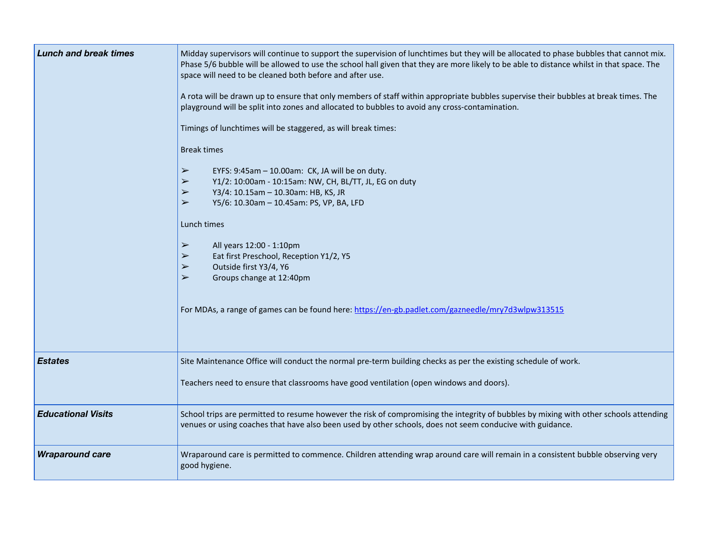| <b>Lunch and break times</b> | Midday supervisors will continue to support the supervision of lunchtimes but they will be allocated to phase bubbles that cannot mix.<br>Phase 5/6 bubble will be allowed to use the school hall given that they are more likely to be able to distance whilst in that space. The<br>space will need to be cleaned both before and after use.<br>A rota will be drawn up to ensure that only members of staff within appropriate bubbles supervise their bubbles at break times. The<br>playground will be split into zones and allocated to bubbles to avoid any cross-contamination.<br>Timings of lunchtimes will be staggered, as will break times:<br><b>Break times</b><br>$\blacktriangleright$<br>EYFS: 9:45am - 10.00am: CK, JA will be on duty.<br>$\blacktriangleright$<br>Y1/2: 10:00am - 10:15am: NW, CH, BL/TT, JL, EG on duty<br>$\blacktriangleright$<br>Y3/4: 10.15am - 10.30am: HB, KS, JR<br>$\blacktriangleright$<br>Y5/6: 10.30am - 10.45am: PS, VP, BA, LFD<br>Lunch times<br>$\blacktriangleright$<br>All years 12:00 - 1:10pm<br>Eat first Preschool, Reception Y1/2, Y5<br>$\blacktriangleright$<br>$\blacktriangleright$<br>Outside first Y3/4, Y6<br>$\blacktriangleright$<br>Groups change at 12:40pm<br>For MDAs, a range of games can be found here: https://en-gb.padlet.com/gazneedle/mry7d3wlpw313515 |
|------------------------------|-----------------------------------------------------------------------------------------------------------------------------------------------------------------------------------------------------------------------------------------------------------------------------------------------------------------------------------------------------------------------------------------------------------------------------------------------------------------------------------------------------------------------------------------------------------------------------------------------------------------------------------------------------------------------------------------------------------------------------------------------------------------------------------------------------------------------------------------------------------------------------------------------------------------------------------------------------------------------------------------------------------------------------------------------------------------------------------------------------------------------------------------------------------------------------------------------------------------------------------------------------------------------------------------------------------------------------------------|
| <b>Estates</b>               | Site Maintenance Office will conduct the normal pre-term building checks as per the existing schedule of work.<br>Teachers need to ensure that classrooms have good ventilation (open windows and doors).                                                                                                                                                                                                                                                                                                                                                                                                                                                                                                                                                                                                                                                                                                                                                                                                                                                                                                                                                                                                                                                                                                                               |
| <b>Educational Visits</b>    | School trips are permitted to resume however the risk of compromising the integrity of bubbles by mixing with other schools attending<br>venues or using coaches that have also been used by other schools, does not seem conducive with guidance.                                                                                                                                                                                                                                                                                                                                                                                                                                                                                                                                                                                                                                                                                                                                                                                                                                                                                                                                                                                                                                                                                      |
| <b>Wraparound care</b>       | Wraparound care is permitted to commence. Children attending wrap around care will remain in a consistent bubble observing very<br>good hygiene.                                                                                                                                                                                                                                                                                                                                                                                                                                                                                                                                                                                                                                                                                                                                                                                                                                                                                                                                                                                                                                                                                                                                                                                        |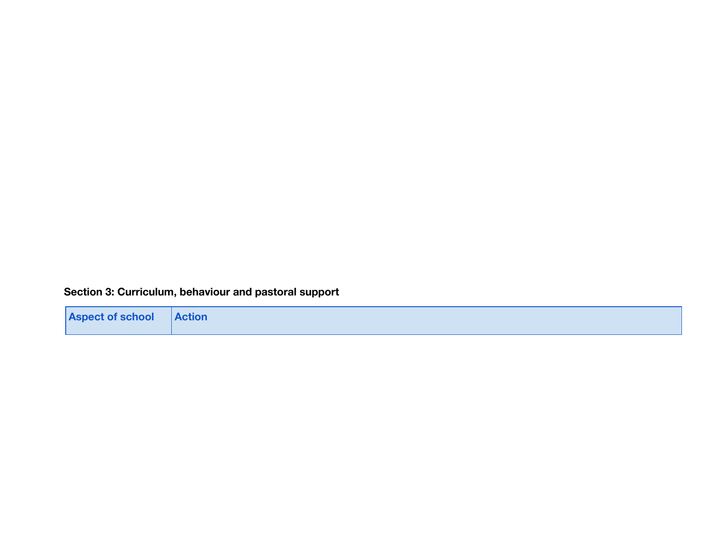## **Section 3: Curriculum, behaviour and pastoral support**

| <b>Aspect of school Action</b> |  |
|--------------------------------|--|
|                                |  |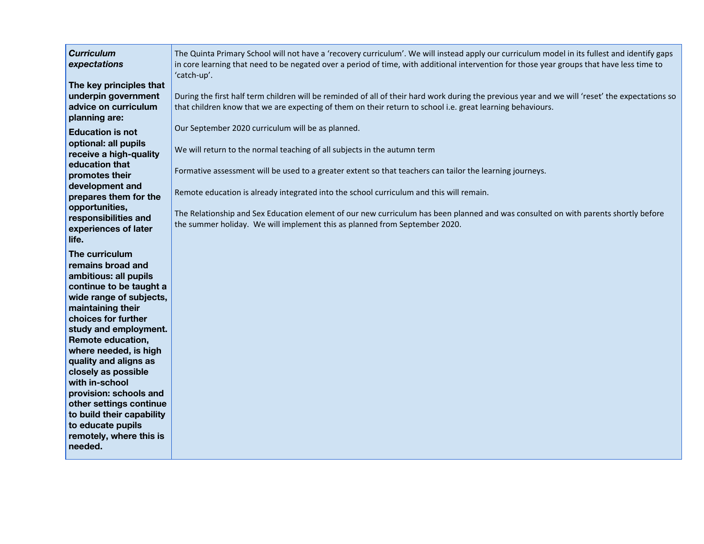| <b>Curriculum</b><br>expectations                                                                                                                                                                                                                                                                                                                                                                                                                             | The Quinta Primary School will not have a 'recovery curriculum'. We will instead apply our curriculum model in its fullest and identify gaps<br>in core learning that need to be negated over a period of time, with additional intervention for those year groups that have less time to<br>'catch-up'.                                                                                                                                                                                                                                                 |
|---------------------------------------------------------------------------------------------------------------------------------------------------------------------------------------------------------------------------------------------------------------------------------------------------------------------------------------------------------------------------------------------------------------------------------------------------------------|----------------------------------------------------------------------------------------------------------------------------------------------------------------------------------------------------------------------------------------------------------------------------------------------------------------------------------------------------------------------------------------------------------------------------------------------------------------------------------------------------------------------------------------------------------|
| The key principles that<br>underpin government<br>advice on curriculum<br>planning are:                                                                                                                                                                                                                                                                                                                                                                       | During the first half term children will be reminded of all of their hard work during the previous year and we will 'reset' the expectations so<br>that children know that we are expecting of them on their return to school i.e. great learning behaviours.                                                                                                                                                                                                                                                                                            |
| <b>Education is not</b><br>optional: all pupils<br>receive a high-quality<br>education that<br>promotes their<br>development and<br>prepares them for the<br>opportunities,<br>responsibilities and<br>experiences of later                                                                                                                                                                                                                                   | Our September 2020 curriculum will be as planned.<br>We will return to the normal teaching of all subjects in the autumn term<br>Formative assessment will be used to a greater extent so that teachers can tailor the learning journeys.<br>Remote education is already integrated into the school curriculum and this will remain.<br>The Relationship and Sex Education element of our new curriculum has been planned and was consulted on with parents shortly before<br>the summer holiday. We will implement this as planned from September 2020. |
| life.<br>The curriculum<br>remains broad and<br>ambitious: all pupils<br>continue to be taught a<br>wide range of subjects,<br>maintaining their<br>choices for further<br>study and employment.<br>Remote education,<br>where needed, is high<br>quality and aligns as<br>closely as possible<br>with in-school<br>provision: schools and<br>other settings continue<br>to build their capability<br>to educate pupils<br>remotely, where this is<br>needed. |                                                                                                                                                                                                                                                                                                                                                                                                                                                                                                                                                          |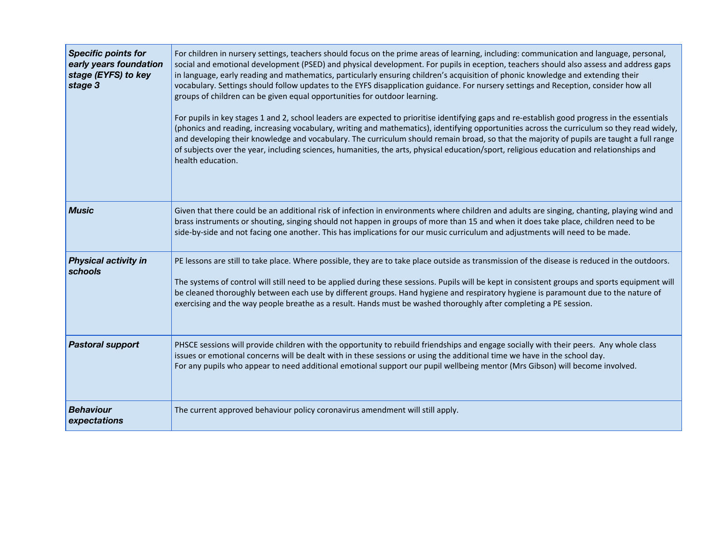| <b>Specific points for</b><br>early years foundation<br>stage (EYFS) to key<br>stage 3 | For children in nursery settings, teachers should focus on the prime areas of learning, including: communication and language, personal,<br>social and emotional development (PSED) and physical development. For pupils in eception, teachers should also assess and address gaps<br>in language, early reading and mathematics, particularly ensuring children's acquisition of phonic knowledge and extending their<br>vocabulary. Settings should follow updates to the EYFS disapplication guidance. For nursery settings and Reception, consider how all<br>groups of children can be given equal opportunities for outdoor learning.<br>For pupils in key stages 1 and 2, school leaders are expected to prioritise identifying gaps and re-establish good progress in the essentials<br>(phonics and reading, increasing vocabulary, writing and mathematics), identifying opportunities across the curriculum so they read widely,<br>and developing their knowledge and vocabulary. The curriculum should remain broad, so that the majority of pupils are taught a full range<br>of subjects over the year, including sciences, humanities, the arts, physical education/sport, religious education and relationships and<br>health education. |
|----------------------------------------------------------------------------------------|-----------------------------------------------------------------------------------------------------------------------------------------------------------------------------------------------------------------------------------------------------------------------------------------------------------------------------------------------------------------------------------------------------------------------------------------------------------------------------------------------------------------------------------------------------------------------------------------------------------------------------------------------------------------------------------------------------------------------------------------------------------------------------------------------------------------------------------------------------------------------------------------------------------------------------------------------------------------------------------------------------------------------------------------------------------------------------------------------------------------------------------------------------------------------------------------------------------------------------------------------------------|
| <b>Music</b>                                                                           | Given that there could be an additional risk of infection in environments where children and adults are singing, chanting, playing wind and<br>brass instruments or shouting, singing should not happen in groups of more than 15 and when it does take place, children need to be<br>side-by-side and not facing one another. This has implications for our music curriculum and adjustments will need to be made.                                                                                                                                                                                                                                                                                                                                                                                                                                                                                                                                                                                                                                                                                                                                                                                                                                       |
| <b>Physical activity in</b><br>schools                                                 | PE lessons are still to take place. Where possible, they are to take place outside as transmission of the disease is reduced in the outdoors.<br>The systems of control will still need to be applied during these sessions. Pupils will be kept in consistent groups and sports equipment will<br>be cleaned thoroughly between each use by different groups. Hand hygiene and respiratory hygiene is paramount due to the nature of<br>exercising and the way people breathe as a result. Hands must be washed thoroughly after completing a PE session.                                                                                                                                                                                                                                                                                                                                                                                                                                                                                                                                                                                                                                                                                                |
| <b>Pastoral support</b>                                                                | PHSCE sessions will provide children with the opportunity to rebuild friendships and engage socially with their peers. Any whole class<br>issues or emotional concerns will be dealt with in these sessions or using the additional time we have in the school day.<br>For any pupils who appear to need additional emotional support our pupil wellbeing mentor (Mrs Gibson) will become involved.                                                                                                                                                                                                                                                                                                                                                                                                                                                                                                                                                                                                                                                                                                                                                                                                                                                       |
| <b>Behaviour</b><br>expectations                                                       | The current approved behaviour policy coronavirus amendment will still apply.                                                                                                                                                                                                                                                                                                                                                                                                                                                                                                                                                                                                                                                                                                                                                                                                                                                                                                                                                                                                                                                                                                                                                                             |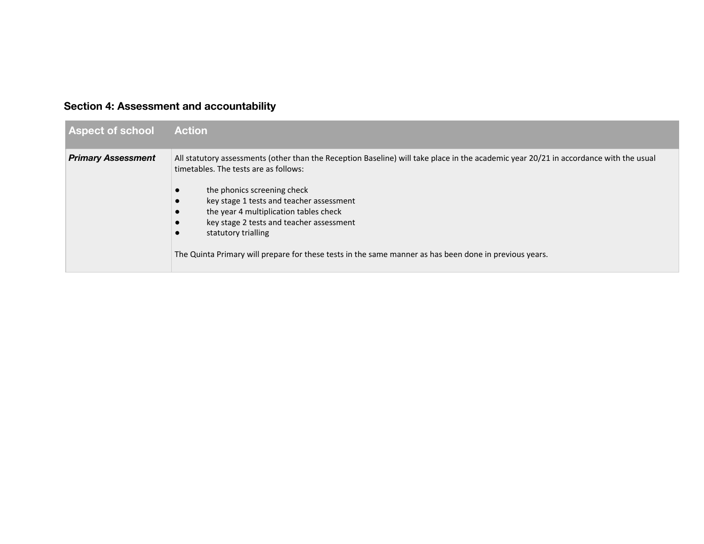## **Section 4: Assessment and accountability**

| <b>Aspect of school</b>   | <b>Action</b>                                                                                                                                                                                                                                                                                                                                                                                                                                                                    |
|---------------------------|----------------------------------------------------------------------------------------------------------------------------------------------------------------------------------------------------------------------------------------------------------------------------------------------------------------------------------------------------------------------------------------------------------------------------------------------------------------------------------|
| <b>Primary Assessment</b> | All statutory assessments (other than the Reception Baseline) will take place in the academic year 20/21 in accordance with the usual<br>timetables. The tests are as follows:<br>the phonics screening check<br>key stage 1 tests and teacher assessment<br>the year 4 multiplication tables check<br>key stage 2 tests and teacher assessment<br>statutory trialling<br>The Quinta Primary will prepare for these tests in the same manner as has been done in previous years. |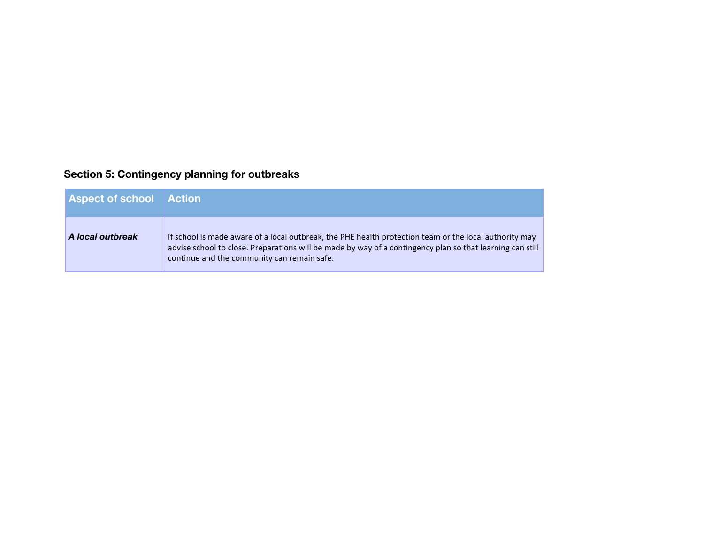## **Section 5: Contingency planning for outbreaks**

| <b>Aspect of school Action</b> |                                                                                                                                                                                                                                                                    |
|--------------------------------|--------------------------------------------------------------------------------------------------------------------------------------------------------------------------------------------------------------------------------------------------------------------|
| A local outbreak               | If school is made aware of a local outbreak, the PHE health protection team or the local authority may<br>advise school to close. Preparations will be made by way of a contingency plan so that learning can still<br>continue and the community can remain safe. |